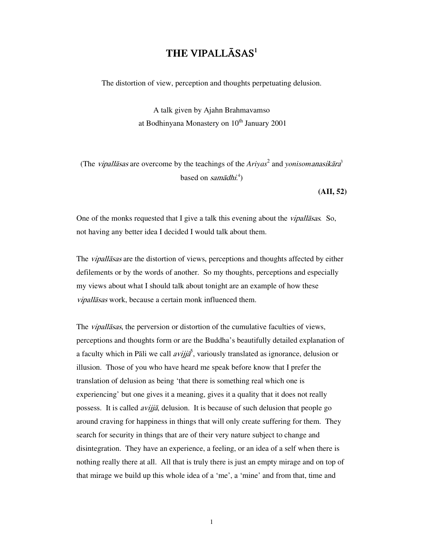# THE VIPALLĀSAS<sup>1</sup>

The distortion of view, perception and thoughts perpetuating delusion.

A talk given by Ajahn Brahmavamso at Bodhinyana Monastery on  $10<sup>th</sup>$  January 2001

(The *vipallasas* are overcome by the teachings of the  $Ariyas^2$  and *yonisomanasikara*<sup>3</sup> based on *samādhi*.<sup>4</sup>)

**(AII, 52)** 

One of the monks requested that I give a talk this evening about the vipallāsas*.* So, not having any better idea I decided I would talk about them.

The *vipallasas* are the distortion of views, perceptions and thoughts affected by either defilements or by the words of another. So my thoughts, perceptions and especially my views about what I should talk about tonight are an example of how these vipallāsas work, because a certain monk influenced them.

The *vipallāsas*, the perversion or distortion of the cumulative faculties of views, perceptions and thoughts form or are the Buddha's beautifully detailed explanation of a faculty which in Pāli we call  $\frac{av_{ij}}{a}$ , variously translated as ignorance, delusion or illusion. Those of you who have heard me speak before know that I prefer the translation of delusion as being 'that there is something real which one is experiencing' but one gives it a meaning, gives it a quality that it does not really possess. It is called avijjā, delusion. It is because of such delusion that people go around craving for happiness in things that will only create suffering for them. They search for security in things that are of their very nature subject to change and disintegration. They have an experience, a feeling, or an idea of a self when there is nothing really there at all. All that is truly there is just an empty mirage and on top of that mirage we build up this whole idea of a 'me', a 'mine' and from that, time and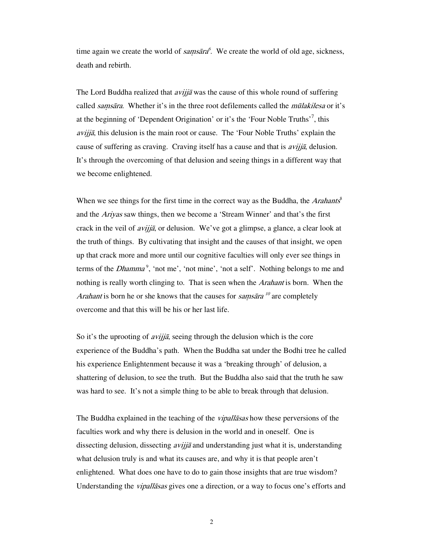time again we create the world of  $\text{samples}$ . We create the world of old age, sickness, death and rebirth.

The Lord Buddha realized that  $a\overline{v}$  was the cause of this whole round of suffering called *samsāra*. Whether it's in the three root defilements called the *mūlakilesa* or it's at the beginning of 'Dependent Origination' or it's the 'Four Noble Truths'<sup>7</sup>, this  $aviji\bar{a}$ , this delusion is the main root or cause. The 'Four Noble Truths' explain the cause of suffering as craving. Craving itself has a cause and that is  $a\nu ijj\bar{a}$ , delusion. It's through the overcoming of that delusion and seeing things in a different way that we become enlightened.

When we see things for the first time in the correct way as the Buddha, the Arahants<sup>8</sup> and the Ariyas saw things, then we become a 'Stream Winner' and that's the first crack in the veil of *avijjā*, or delusion. We've got a glimpse, a glance, a clear look at the truth of things. By cultivating that insight and the causes of that insight, we open up that crack more and more until our cognitive faculties will only ever see things in terms of the *Dhamma*<sup>9</sup>, 'not me', 'not mine', 'not a self'. Nothing belongs to me and nothing is really worth clinging to. That is seen when the *Arahant* is born. When the *Arahant* is born he or she knows that the causes for *samsara*  $\mu^0$  are completely overcome and that this will be his or her last life.

So it's the uprooting of *avijjā*, seeing through the delusion which is the core experience of the Buddha's path. When the Buddha sat under the Bodhi tree he called his experience Enlightenment because it was a 'breaking through' of delusion, a shattering of delusion, to see the truth. But the Buddha also said that the truth he saw was hard to see. It's not a simple thing to be able to break through that delusion.

The Buddha explained in the teaching of the *vipallasas* how these perversions of the faculties work and why there is delusion in the world and in oneself. One is dissecting delusion, dissecting *avijjā* and understanding just what it is, understanding what delusion truly is and what its causes are, and why it is that people aren't enlightened. What does one have to do to gain those insights that are true wisdom? Understanding the *vipallasas* gives one a direction, or a way to focus one's efforts and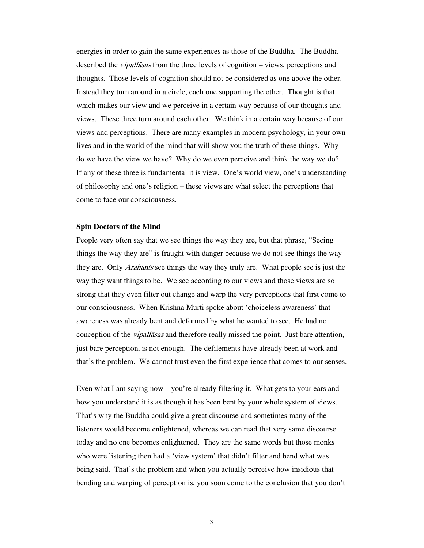energies in order to gain the same experiences as those of the Buddha. The Buddha described the *vipallasas* from the three levels of cognition – views, perceptions and thoughts. Those levels of cognition should not be considered as one above the other. Instead they turn around in a circle, each one supporting the other. Thought is that which makes our view and we perceive in a certain way because of our thoughts and views. These three turn around each other. We think in a certain way because of our views and perceptions. There are many examples in modern psychology, in your own lives and in the world of the mind that will show you the truth of these things. Why do we have the view we have? Why do we even perceive and think the way we do? If any of these three is fundamental it is view. One's world view, one's understanding of philosophy and one's religion – these views are what select the perceptions that come to face our consciousness.

## **Spin Doctors of the Mind**

People very often say that we see things the way they are, but that phrase, "Seeing things the way they are" is fraught with danger because we do not see things the way they are. Only *Arahants* see things the way they truly are. What people see is just the way they want things to be. We see according to our views and those views are so strong that they even filter out change and warp the very perceptions that first come to our consciousness. When Krishna Murti spoke about 'choiceless awareness' that awareness was already bent and deformed by what he wanted to see. He had no conception of the vipallāsas and therefore really missed the point. Just bare attention, just bare perception, is not enough. The defilements have already been at work and that's the problem. We cannot trust even the first experience that comes to our senses.

Even what I am saying now – you're already filtering it. What gets to your ears and how you understand it is as though it has been bent by your whole system of views. That's why the Buddha could give a great discourse and sometimes many of the listeners would become enlightened, whereas we can read that very same discourse today and no one becomes enlightened. They are the same words but those monks who were listening then had a 'view system' that didn't filter and bend what was being said. That's the problem and when you actually perceive how insidious that bending and warping of perception is, you soon come to the conclusion that you don't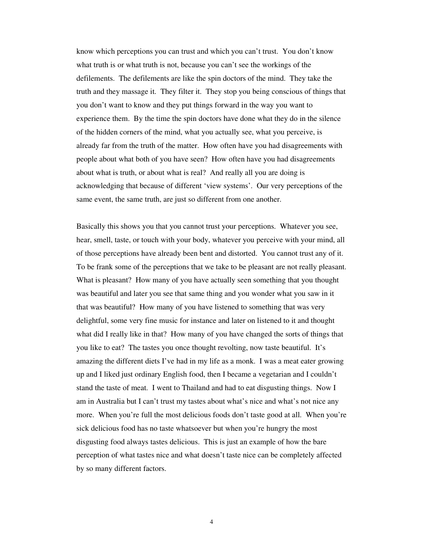know which perceptions you can trust and which you can't trust. You don't know what truth is or what truth is not, because you can't see the workings of the defilements. The defilements are like the spin doctors of the mind. They take the truth and they massage it. They filter it. They stop you being conscious of things that you don't want to know and they put things forward in the way you want to experience them. By the time the spin doctors have done what they do in the silence of the hidden corners of the mind, what you actually see, what you perceive, is already far from the truth of the matter. How often have you had disagreements with people about what both of you have seen? How often have you had disagreements about what is truth, or about what is real? And really all you are doing is acknowledging that because of different 'view systems'. Our very perceptions of the same event, the same truth, are just so different from one another.

Basically this shows you that you cannot trust your perceptions. Whatever you see, hear, smell, taste, or touch with your body, whatever you perceive with your mind, all of those perceptions have already been bent and distorted. You cannot trust any of it. To be frank some of the perceptions that we take to be pleasant are not really pleasant. What is pleasant? How many of you have actually seen something that you thought was beautiful and later you see that same thing and you wonder what you saw in it that was beautiful? How many of you have listened to something that was very delightful, some very fine music for instance and later on listened to it and thought what did I really like in that? How many of you have changed the sorts of things that you like to eat? The tastes you once thought revolting, now taste beautiful. It's amazing the different diets I've had in my life as a monk. I was a meat eater growing up and I liked just ordinary English food, then I became a vegetarian and I couldn't stand the taste of meat. I went to Thailand and had to eat disgusting things. Now I am in Australia but I can't trust my tastes about what's nice and what's not nice any more. When you're full the most delicious foods don't taste good at all. When you're sick delicious food has no taste whatsoever but when you're hungry the most disgusting food always tastes delicious. This is just an example of how the bare perception of what tastes nice and what doesn't taste nice can be completely affected by so many different factors.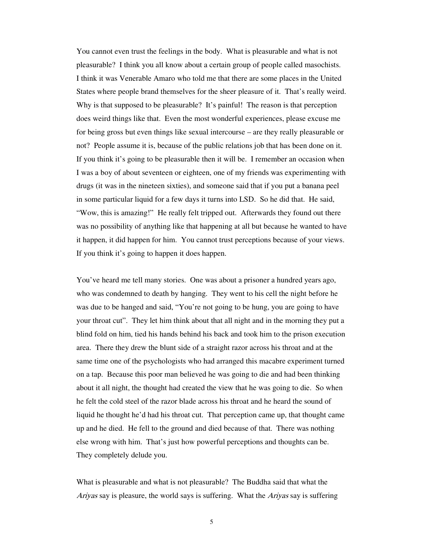You cannot even trust the feelings in the body. What is pleasurable and what is not pleasurable? I think you all know about a certain group of people called masochists. I think it was Venerable Amaro who told me that there are some places in the United States where people brand themselves for the sheer pleasure of it. That's really weird. Why is that supposed to be pleasurable? It's painful! The reason is that perception does weird things like that. Even the most wonderful experiences, please excuse me for being gross but even things like sexual intercourse – are they really pleasurable or not? People assume it is, because of the public relations job that has been done on it. If you think it's going to be pleasurable then it will be. I remember an occasion when I was a boy of about seventeen or eighteen, one of my friends was experimenting with drugs (it was in the nineteen sixties), and someone said that if you put a banana peel in some particular liquid for a few days it turns into LSD. So he did that. He said, "Wow, this is amazing!" He really felt tripped out. Afterwards they found out there was no possibility of anything like that happening at all but because he wanted to have it happen, it did happen for him. You cannot trust perceptions because of your views. If you think it's going to happen it does happen.

You've heard me tell many stories. One was about a prisoner a hundred years ago, who was condemned to death by hanging. They went to his cell the night before he was due to be hanged and said, "You're not going to be hung, you are going to have your throat cut". They let him think about that all night and in the morning they put a blind fold on him, tied his hands behind his back and took him to the prison execution area. There they drew the blunt side of a straight razor across his throat and at the same time one of the psychologists who had arranged this macabre experiment turned on a tap. Because this poor man believed he was going to die and had been thinking about it all night, the thought had created the view that he was going to die. So when he felt the cold steel of the razor blade across his throat and he heard the sound of liquid he thought he'd had his throat cut. That perception came up, that thought came up and he died. He fell to the ground and died because of that. There was nothing else wrong with him. That's just how powerful perceptions and thoughts can be. They completely delude you.

What is pleasurable and what is not pleasurable? The Buddha said that what the Ariyas say is pleasure, the world says is suffering. What the Ariyas say is suffering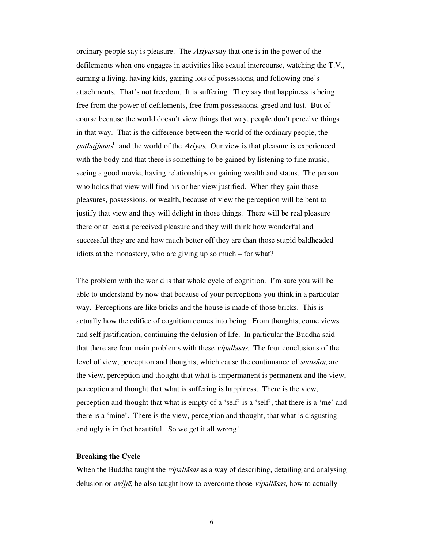ordinary people say is pleasure. The *Ariyas* say that one is in the power of the defilements when one engages in activities like sexual intercourse, watching the T.V., earning a living, having kids, gaining lots of possessions, and following one's attachments. That's not freedom. It is suffering. They say that happiness is being free from the power of defilements, free from possessions, greed and lust. But of course because the world doesn't view things that way, people don't perceive things in that way. That is the difference between the world of the ordinary people, the puthujjanas<sup>11</sup> and the world of the Ariyas. Our view is that pleasure is experienced with the body and that there is something to be gained by listening to fine music, seeing a good movie, having relationships or gaining wealth and status. The person who holds that view will find his or her view justified. When they gain those pleasures, possessions, or wealth, because of view the perception will be bent to justify that view and they will delight in those things. There will be real pleasure there or at least a perceived pleasure and they will think how wonderful and successful they are and how much better off they are than those stupid baldheaded idiots at the monastery, who are giving up so much – for what?

The problem with the world is that whole cycle of cognition. I'm sure you will be able to understand by now that because of your perceptions you think in a particular way. Perceptions are like bricks and the house is made of those bricks. This is actually how the edifice of cognition comes into being. From thoughts, come views and self justification, continuing the delusion of life. In particular the Buddha said that there are four main problems with these *vipallasas*. The four conclusions of the level of view, perception and thoughts, which cause the continuance of *samsāra*, are the view, perception and thought that what is impermanent is permanent and the view, perception and thought that what is suffering is happiness. There is the view, perception and thought that what is empty of a 'self' is a 'self', that there is a 'me' and there is a 'mine'. There is the view, perception and thought, that what is disgusting and ugly is in fact beautiful. So we get it all wrong!

## **Breaking the Cycle**

When the Buddha taught the *vipallasas* as a way of describing, detailing and analysing delusion or *avijjā*, he also taught how to overcome those *vipallāsas*, how to actually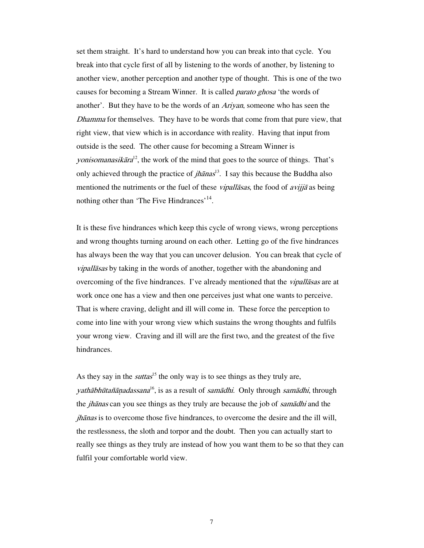set them straight. It's hard to understand how you can break into that cycle. You break into that cycle first of all by listening to the words of another, by listening to another view, another perception and another type of thought. This is one of the two causes for becoming a Stream Winner. It is called *parato ghosa* 'the words of another'. But they have to be the words of an Ariyan, someone who has seen the Dhamma for themselves. They have to be words that come from that pure view, that right view, that view which is in accordance with reality. Having that input from outside is the seed. The other cause for becoming a Stream Winner is yonisomanasikāra<sup>12</sup>, the work of the mind that goes to the source of things. That's only achieved through the practice of *jhānas*<sup>13</sup>. I say this because the Buddha also mentioned the nutriments or the fuel of these *vipallasas*, the food of *avijja* as being nothing other than 'The Five Hindrances'<sup>14</sup>.

It is these five hindrances which keep this cycle of wrong views, wrong perceptions and wrong thoughts turning around on each other. Letting go of the five hindrances has always been the way that you can uncover delusion. You can break that cycle of vipallāsas by taking in the words of another, together with the abandoning and overcoming of the five hindrances. I've already mentioned that the *vipallasas* are at work once one has a view and then one perceives just what one wants to perceive. That is where craving, delight and ill will come in. These force the perception to come into line with your wrong view which sustains the wrong thoughts and fulfils your wrong view. Craving and ill will are the first two, and the greatest of the five hindrances.

As they say in the *suttas*<sup>15</sup> the only way is to see things as they truly are, yathābhūtañāņadassana<sup>16</sup>, is as a result of samādhi. Only through samādhi, through the *jhānas* can you see things as they truly are because the job of *samādhi* and the jhānas is to overcome those five hindrances, to overcome the desire and the ill will, the restlessness, the sloth and torpor and the doubt. Then you can actually start to really see things as they truly are instead of how you want them to be so that they can fulfil your comfortable world view.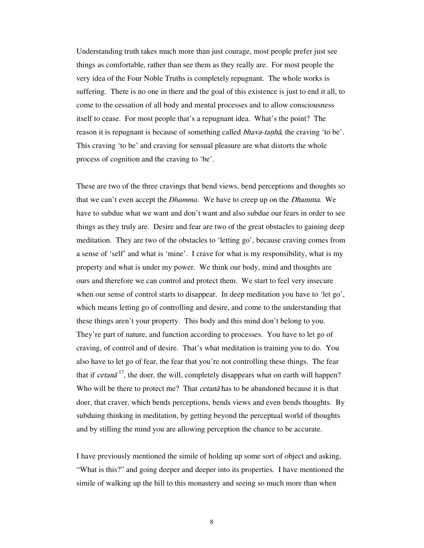Understanding truth takes much more than just courage, most people prefer just see things as comfortable, rather than see them as they really are. For most people the very idea of the Four Noble Truths is completely repugnant. The whole works is suffering. There is no one in there and the goal of this existence is just to end it all, to come to the cessation of all body and mental processes and to allow consciousness itself to cease. For most people that's a repugnant idea. What's the point? The reason it is repugnant is because of something called *bhava-tanhā*, the craving 'to be'. This craving 'to be' and craving for sensual pleasure are what distorts the whole process of cognition and the craving to 'be'.

These are two of the three cravings that bend views, bend perceptions and thoughts so that we can't even accept the *Dhamma*. We have to creep up on the Dhamma. We have to subdue what we want and don't want and also subdue our fears in order to see things as they truly are. Desire and fear are two of the great obstacles to gaining deep meditation. They are two of the obstacles to 'letting go', because craving comes from a sense of 'self' and what is 'mine'. I crave for what is my responsibility, what is my property and what is under my power. We think our body, mind and thoughts are ours and therefore we can control and protect them. We start to feel very insecure when our sense of control starts to disappear. In deep meditation you have to 'let go', which means letting go of controlling and desire, and come to the understanding that these things aren't your property. This body and this mind don't belong to you. They're part of nature, and function according to processes. You have to let go of craving, of control and of desire. That's what meditation is training you to do. You also have to let go of fear, the fear that you're not controlling these things. The fear that if *cetanā*<sup>17</sup>, the doer, the will, completely disappears what on earth will happen? Who will be there to protect me? That *cetana* has to be abandoned because it is that doer, that craver, which bends perceptions, bends views and even bends thoughts. By subduing thinking in meditation, by getting beyond the perceptual world of thoughts and by stilling the mind you are allowing perception the chance to be accurate.

I have previously mentioned the simile of holding up some sort of object and asking, "What is this?" and going deeper and deeper into its properties. I have mentioned the simile of walking up the hill to this monastery and seeing so much more than when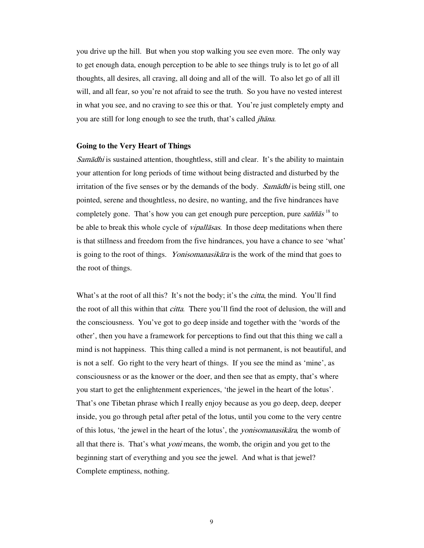you drive up the hill. But when you stop walking you see even more. The only way to get enough data, enough perception to be able to see things truly is to let go of all thoughts, all desires, all craving, all doing and all of the will. To also let go of all ill will, and all fear, so you're not afraid to see the truth. So you have no vested interest in what you see, and no craving to see this or that. You're just completely empty and you are still for long enough to see the truth, that's called jhāna.

#### **Going to the Very Heart of Things**

Samādhi is sustained attention, thoughtless, still and clear. It's the ability to maintain your attention for long periods of time without being distracted and disturbed by the irritation of the five senses or by the demands of the body. Sam $\bar{a}$ dhi is being still, one pointed, serene and thoughtless, no desire, no wanting, and the five hindrances have completely gone. That's how you can get enough pure perception, pure saññas<sup>18</sup> to be able to break this whole cycle of *vipallasas*. In those deep meditations when there is that stillness and freedom from the five hindrances, you have a chance to see 'what' is going to the root of things. *Yonisomanasikāra* is the work of the mind that goes to the root of things.

What's at the root of all this? It's not the body; it's the *citta*, the mind. You'll find the root of all this within that *citta*. There you'll find the root of delusion, the will and the consciousness. You've got to go deep inside and together with the 'words of the other', then you have a framework for perceptions to find out that this thing we call a mind is not happiness. This thing called a mind is not permanent, is not beautiful, and is not a self. Go right to the very heart of things. If you see the mind as 'mine', as consciousness or as the knower or the doer, and then see that as empty, that's where you start to get the enlightenment experiences, 'the jewel in the heart of the lotus'. That's one Tibetan phrase which I really enjoy because as you go deep, deep, deeper inside, you go through petal after petal of the lotus, until you come to the very centre of this lotus, 'the jewel in the heart of the lotus', the yonisomanasikāra*,* the womb of all that there is. That's what *yoni* means, the womb, the origin and you get to the beginning start of everything and you see the jewel. And what is that jewel? Complete emptiness, nothing.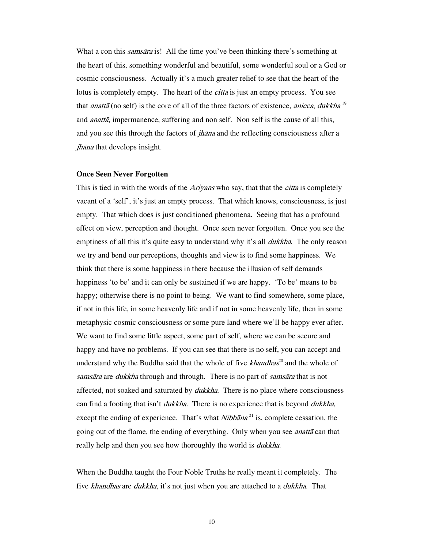What a con this *samsāra* is! All the time you've been thinking there's something at the heart of this, something wonderful and beautiful, some wonderful soul or a God or cosmic consciousness. Actually it's a much greater relief to see that the heart of the lotus is completely empty. The heart of the *citta* is just an empty process. You see that *anattā* (no self) is the core of all of the three factors of existence, *anicca*, *dukkha*<sup>19</sup> and *anattā*, impermanence, suffering and non self. Non self is the cause of all this, and you see this through the factors of *jhana* and the reflecting consciousness after a jhāna that develops insight.

#### **Once Seen Never Forgotten**

This is tied in with the words of the *Ariyans* who say, that that the *citta* is completely vacant of a 'self', it's just an empty process. That which knows, consciousness, is just empty. That which does is just conditioned phenomena. Seeing that has a profound effect on view, perception and thought. Once seen never forgotten. Once you see the emptiness of all this it's quite easy to understand why it's all *dukkha*. The only reason we try and bend our perceptions, thoughts and view is to find some happiness. We think that there is some happiness in there because the illusion of self demands happiness 'to be' and it can only be sustained if we are happy. 'To be' means to be happy; otherwise there is no point to being. We want to find somewhere, some place, if not in this life, in some heavenly life and if not in some heavenly life, then in some metaphysic cosmic consciousness or some pure land where we'll be happy ever after. We want to find some little aspect, some part of self, where we can be secure and happy and have no problems. If you can see that there is no self, you can accept and understand why the Buddha said that the whole of five  $k$ handhas<sup>20</sup> and the whole of samsāra are *dukkha* through and through. There is no part of samsāra that is not affected, not soaked and saturated by *dukkha*. There is no place where consciousness can find a footing that isn't *dukkha*. There is no experience that is beyond *dukkha*, except the ending of experience. That's what *Nibbana*<sup>21</sup> is, complete cessation, the going out of the flame, the ending of everything. Only when you see *anatta* can that really help and then you see how thoroughly the world is *dukkha*.

When the Buddha taught the Four Noble Truths he really meant it completely. The five khandhas are dukkha, it's not just when you are attached to a dukkha. That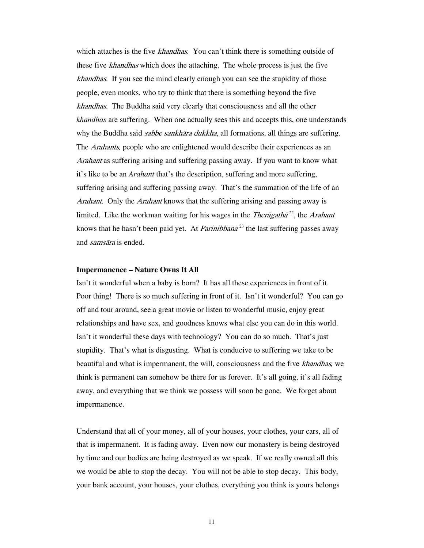which attaches is the five *khandhas*. You can't think there is something outside of these five *khandhas* which does the attaching. The whole process is just the five khandhas. If you see the mind clearly enough you can see the stupidity of those people, even monks, who try to think that there is something beyond the five khandhas. The Buddha said very clearly that consciousness and all the other *khandhas* are suffering. When one actually sees this and accepts this, one understands why the Buddha said *sabbe sankhāra dukkha*, all formations, all things are suffering. The Arahants*,* people who are enlightened would describe their experiences as an Arahant as suffering arising and suffering passing away. If you want to know what it's like to be an *Arahant* that's the description, suffering and more suffering, suffering arising and suffering passing away. That's the summation of the life of an Arahant. Only the Arahant knows that the suffering arising and passing away is limited. Like the workman waiting for his wages in the *Therāgathā*<sup>22</sup>, the *Arahant* knows that he hasn't been paid yet. At *Parinibbana*<sup>23</sup> the last suffering passes away and samsāra is ended.

### **Impermanence – Nature Owns It All**

Isn't it wonderful when a baby is born? It has all these experiences in front of it. Poor thing! There is so much suffering in front of it. Isn't it wonderful? You can go off and tour around, see a great movie or listen to wonderful music, enjoy great relationships and have sex, and goodness knows what else you can do in this world. Isn't it wonderful these days with technology? You can do so much. That's just stupidity. That's what is disgusting. What is conducive to suffering we take to be beautiful and what is impermanent, the will, consciousness and the five khandhas*,* we think is permanent can somehow be there for us forever. It's all going, it's all fading away, and everything that we think we possess will soon be gone. We forget about impermanence.

Understand that all of your money, all of your houses, your clothes, your cars, all of that is impermanent. It is fading away. Even now our monastery is being destroyed by time and our bodies are being destroyed as we speak. If we really owned all this we would be able to stop the decay. You will not be able to stop decay. This body, your bank account, your houses, your clothes, everything you think is yours belongs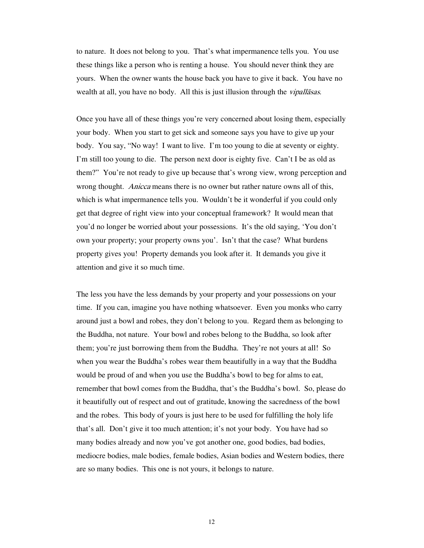to nature. It does not belong to you. That's what impermanence tells you. You use these things like a person who is renting a house. You should never think they are yours. When the owner wants the house back you have to give it back. You have no wealth at all, you have no body. All this is just illusion through the *vipallasas*.

Once you have all of these things you're very concerned about losing them, especially your body. When you start to get sick and someone says you have to give up your body. You say, "No way! I want to live. I'm too young to die at seventy or eighty. I'm still too young to die. The person next door is eighty five. Can't I be as old as them?" You're not ready to give up because that's wrong view, wrong perception and wrong thought. Anicca means there is no owner but rather nature owns all of this, which is what impermanence tells you. Wouldn't be it wonderful if you could only get that degree of right view into your conceptual framework? It would mean that you'd no longer be worried about your possessions. It's the old saying, 'You don't own your property; your property owns you'. Isn't that the case? What burdens property gives you! Property demands you look after it. It demands you give it attention and give it so much time.

The less you have the less demands by your property and your possessions on your time. If you can, imagine you have nothing whatsoever. Even you monks who carry around just a bowl and robes, they don't belong to you. Regard them as belonging to the Buddha, not nature. Your bowl and robes belong to the Buddha, so look after them; you're just borrowing them from the Buddha. They're not yours at all! So when you wear the Buddha's robes wear them beautifully in a way that the Buddha would be proud of and when you use the Buddha's bowl to beg for alms to eat, remember that bowl comes from the Buddha, that's the Buddha's bowl. So, please do it beautifully out of respect and out of gratitude, knowing the sacredness of the bowl and the robes. This body of yours is just here to be used for fulfilling the holy life that's all. Don't give it too much attention; it's not your body. You have had so many bodies already and now you've got another one, good bodies, bad bodies, mediocre bodies, male bodies, female bodies, Asian bodies and Western bodies, there are so many bodies. This one is not yours, it belongs to nature.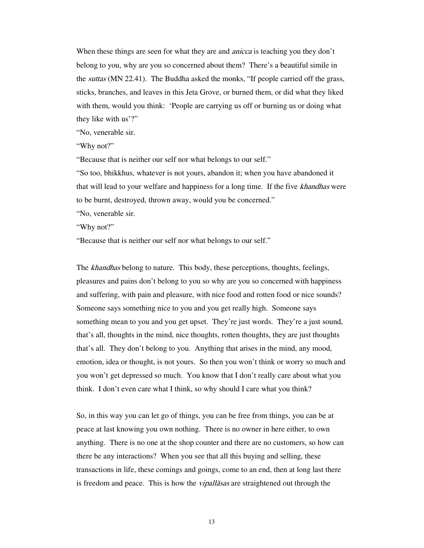When these things are seen for what they are and *anicca* is teaching you they don't belong to you, why are you so concerned about them? There's a beautiful simile in the *suttas* (MN 22.41). The Buddha asked the monks, "If people carried off the grass, sticks, branches, and leaves in this Jeta Grove, or burned them, or did what they liked with them, would you think: 'People are carrying us off or burning us or doing what they like with us'?"

"No, venerable sir.

"Why not?"

"Because that is neither our self nor what belongs to our self."

"So too, bhikkhus, whatever is not yours, abandon it; when you have abandoned it that will lead to your welfare and happiness for a long time. If the five khandhas were to be burnt, destroyed, thrown away, would you be concerned." "No, venerable sir.

"Why not?"

"Because that is neither our self nor what belongs to our self."

The *khandhas* belong to nature. This body, these perceptions, thoughts, feelings, pleasures and pains don't belong to you so why are you so concerned with happiness and suffering, with pain and pleasure, with nice food and rotten food or nice sounds? Someone says something nice to you and you get really high. Someone says something mean to you and you get upset. They're just words. They're a just sound, that's all, thoughts in the mind, nice thoughts, rotten thoughts, they are just thoughts that's all. They don't belong to you. Anything that arises in the mind, any mood, emotion, idea or thought, is not yours. So then you won't think or worry so much and you won't get depressed so much. You know that I don't really care about what you think. I don't even care what I think, so why should I care what you think?

So, in this way you can let go of things, you can be free from things, you can be at peace at last knowing you own nothing. There is no owner in here either, to own anything. There is no one at the shop counter and there are no customers, so how can there be any interactions? When you see that all this buying and selling, these transactions in life, these comings and goings, come to an end, then at long last there is freedom and peace. This is how the *vipallasas* are straightened out through the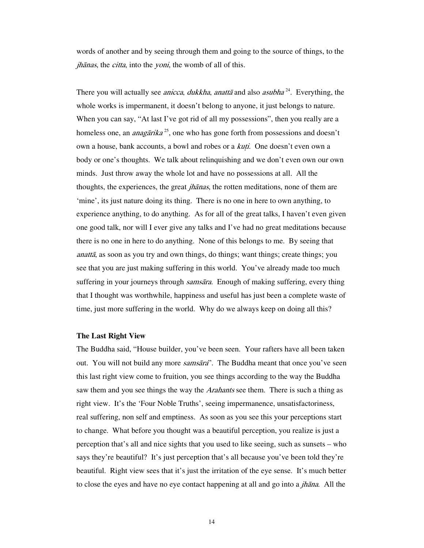words of another and by seeing through them and going to the source of things, to the jhānas, the citta, into the yoni, the womb of all of this.

There you will actually see *anicca*, *dukkha*, *anattā* and also *asubha*<sup>24</sup>. Everything, the whole works is impermanent, it doesn't belong to anyone, it just belongs to nature. When you can say, "At last I've got rid of all my possessions", then you really are a homeless one, an *anagārika*<sup>25</sup>, one who has gone forth from possessions and doesn't own a house, bank accounts, a bowl and robes or a *kuti*. One doesn't even own a body or one's thoughts. We talk about relinquishing and we don't even own our own minds. Just throw away the whole lot and have no possessions at all. All the thoughts, the experiences, the great *jhanas*, the rotten meditations, none of them are 'mine', its just nature doing its thing. There is no one in here to own anything, to experience anything, to do anything. As for all of the great talks, I haven't even given one good talk, nor will I ever give any talks and I've had no great meditations because there is no one in here to do anything. None of this belongs to me. By seeing that anattā, as soon as you try and own things, do things; want things; create things; you see that you are just making suffering in this world. You've already made too much suffering in your journeys through *samsāra*. Enough of making suffering, every thing that I thought was worthwhile, happiness and useful has just been a complete waste of time, just more suffering in the world. Why do we always keep on doing all this?

#### **The Last Right View**

The Buddha said, "House builder, you've been seen. Your rafters have all been taken out. You will not build any more *samsāra*". The Buddha meant that once you've seen this last right view come to fruition, you see things according to the way the Buddha saw them and you see things the way the *Arahants* see them. There is such a thing as right view. It's the 'Four Noble Truths', seeing impermanence, unsatisfactoriness, real suffering, non self and emptiness. As soon as you see this your perceptions start to change. What before you thought was a beautiful perception, you realize is just a perception that's all and nice sights that you used to like seeing, such as sunsets – who says they're beautiful? It's just perception that's all because you've been told they're beautiful. Right view sees that it's just the irritation of the eye sense. It's much better to close the eyes and have no eye contact happening at all and go into a  $jhāna$ . All the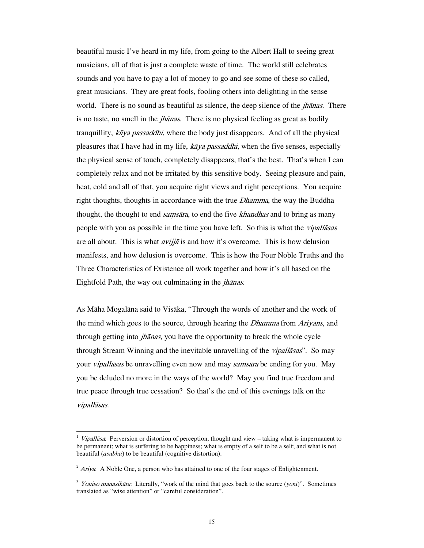beautiful music I've heard in my life, from going to the Albert Hall to seeing great musicians, all of that is just a complete waste of time. The world still celebrates sounds and you have to pay a lot of money to go and see some of these so called, great musicians. They are great fools, fooling others into delighting in the sense world. There is no sound as beautiful as silence, the deep silence of the *jhanas*. There is no taste, no smell in the *jhānas*. There is no physical feeling as great as bodily tranquillity, kāya passaddhi, where the body just disappears. And of all the physical pleasures that I have had in my life,  $k\bar{a}ya$  passaddhi, when the five senses, especially the physical sense of touch, completely disappears, that's the best. That's when I can completely relax and not be irritated by this sensitive body. Seeing pleasure and pain, heat, cold and all of that, you acquire right views and right perceptions. You acquire right thoughts, thoughts in accordance with the true *Dhamma*, the way the Buddha thought, the thought to end *samsāra*, to end the five *khandhas* and to bring as many people with you as possible in the time you have left. So this is what the vipallāsas are all about. This is what *avijja* is and how it's overcome. This is how delusion manifests, and how delusion is overcome. This is how the Four Noble Truths and the Three Characteristics of Existence all work together and how it's all based on the Eightfold Path, the way out culminating in the *jhānas*.

As Māha Mogalāna said to Visāka, "Through the words of another and the work of the mind which goes to the source, through hearing the *Dhamma* from Ariyans, and through getting into *jhānas*, you have the opportunity to break the whole cycle through Stream Winning and the inevitable unravelling of the *vipallasas*". So may your *vipallāsas* be unravelling even now and may *samsāra* be ending for you. May you be deluded no more in the ways of the world? May you find true freedom and true peace through true cessation? So that's the end of this evenings talk on the vipallāsas.

 $\overline{a}$ 

Vipallāsa: Perversion or distortion of perception, thought and view – taking what is impermanent to be permanent; what is suffering to be happiness; what is empty of a self to be a self; and what is not beautiful (*asubha*) to be beautiful (cognitive distortion).

 $2$  Ariya: A Noble One, a person who has attained to one of the four stages of Enlightenment.

<sup>3</sup> Yoniso manasikāra: Literally, "work of the mind that goes back to the source (*yoni*)". Sometimes translated as "wise attention" or "careful consideration".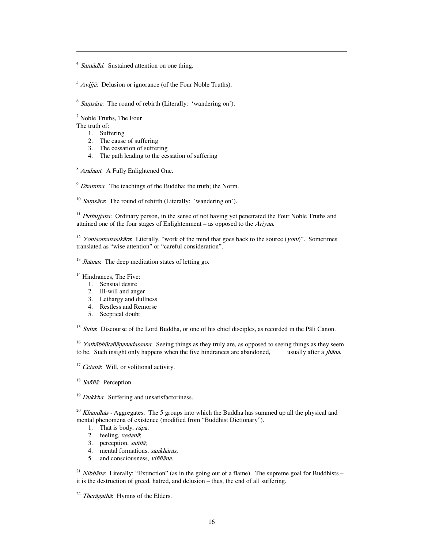<sup>4</sup> Samādhi: Sustained attention on one thing.

 $5$  Avijjā: Delusion or ignorance (of the Four Noble Truths).

 $6$  Samsara: The round of rebirth (Literally: 'wandering on').

7 Noble Truths, The Four

The truth of:

 $\overline{a}$ 

- 1. Suffering
- 2. The cause of suffering
- 3. The cessation of suffering
- 4. The path leading to the cessation of suffering

<sup>8</sup> Arahant: A Fully Enlightened One.

 $9$  Dhamma: The teachings of the Buddha; the truth; the Norm.

 $10$  Samsāra: The round of rebirth (Literally: 'wandering on').

<sup>11</sup> Puthujjana: Ordinary person, in the sense of not having yet penetrated the Four Noble Truths and attained one of the four stages of Enlightenment – as opposed to the Ariyan.

<sup>12</sup> Yonisomanasikāra: Literally, "work of the mind that goes back to the source (yoni)". Sometimes translated as "wise attention" or "careful consideration".

 $13$  Jhānas: The deep meditation states of letting go.

 $14$  Hindrances, The Five:

- 1. Sensual desire
- 2. Ill-will and anger
- 3. Lethargy and dullness
- 4. Restless and Remorse
- 5. Sceptical doubt

<sup>15</sup> Sutta: Discourse of the Lord Buddha, or one of his chief disciples, as recorded in the Pāli Canon.

<sup>16</sup> *Yathābhūtañāņanadassana*: Seeing things as they truly are, as opposed to seeing things as they seem to be. Such insight only happens when the five hindrances are abandoned, usually after a *jhāna*. to be. Such insight only happens when the five hindrances are abandoned,

<sup>17</sup> Cetanā: Will, or volitional activity.

<sup>18</sup> Saññā: Perception.

 $19$  *Dukkha*: Suffering and unsatisfactoriness.

<sup>20</sup> Khandhās - Aggregates. The 5 groups into which the Buddha has summed up all the physical and mental phenomena of existence (modified from "Buddhist Dictionary").

- 1. That is body,  $r\bar{u}pa$ :
- 2. feeling, vedanā;<br>3. perception, saññ
- perception,  $sa\tilde{n}\tilde{a}$ ;
- 4. mental formations, *sankhāras*;<br>5. and consciousness, *viññāna*.
- 5. and consciousness, viññāna.

<sup>21</sup> Nibbana: Literally; "Extinction" (as in the going out of a flame). The supreme goal for Buddhists – it is the destruction of greed, hatred, and delusion – thus, the end of all suffering.

 $^{22}$  *Therāgathā*: Hymns of the Elders.